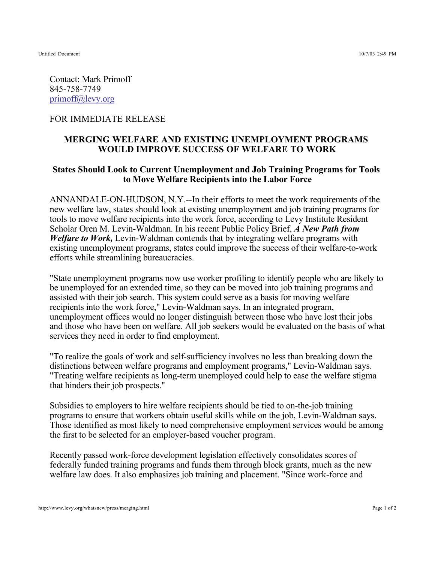Untitled Document 10/7/03 2:49 PM

Contact: Mark Primoff 845-758-7749 primoff@levy.org

## FOR IMMEDIATE RELEASE

## **MERGING WELFARE AND EXISTING UNEMPLOYMENT PROGRAMS WOULD IMPROVE SUCCESS OF WELFARE TO WORK**

## **States Should Look to Current Unemployment and Job Training Programs for Tools to Move Welfare Recipients into the Labor Force**

ANNANDALE-ON-HUDSON, N.Y.--In their efforts to meet the work requirements of the new welfare law, states should look at existing unemployment and job training programs for tools to move welfare recipients into the work force, according to Levy Institute Resident Scholar Oren M. Levin-Waldman. In his recent Public Policy Brief, *A New Path from Welfare to Work,* Levin-Waldman contends that by integrating welfare programs with existing unemployment programs, states could improve the success of their welfare-to-work efforts while streamlining bureaucracies.

"State unemployment programs now use worker profiling to identify people who are likely to be unemployed for an extended time, so they can be moved into job training programs and assisted with their job search. This system could serve as a basis for moving welfare recipients into the work force," Levin-Waldman says. In an integrated program, unemployment offices would no longer distinguish between those who have lost their jobs and those who have been on welfare. All job seekers would be evaluated on the basis of what services they need in order to find employment.

"To realize the goals of work and self-sufficiency involves no less than breaking down the distinctions between welfare programs and employment programs," Levin-Waldman says. "Treating welfare recipients as long-term unemployed could help to ease the welfare stigma that hinders their job prospects."

Subsidies to employers to hire welfare recipients should be tied to on-the-job training programs to ensure that workers obtain useful skills while on the job, Levin-Waldman says. Those identified as most likely to need comprehensive employment services would be among the first to be selected for an employer-based voucher program.

Recently passed work-force development legislation effectively consolidates scores of federally funded training programs and funds them through block grants, much as the new welfare law does. It also emphasizes job training and placement. "Since work-force and